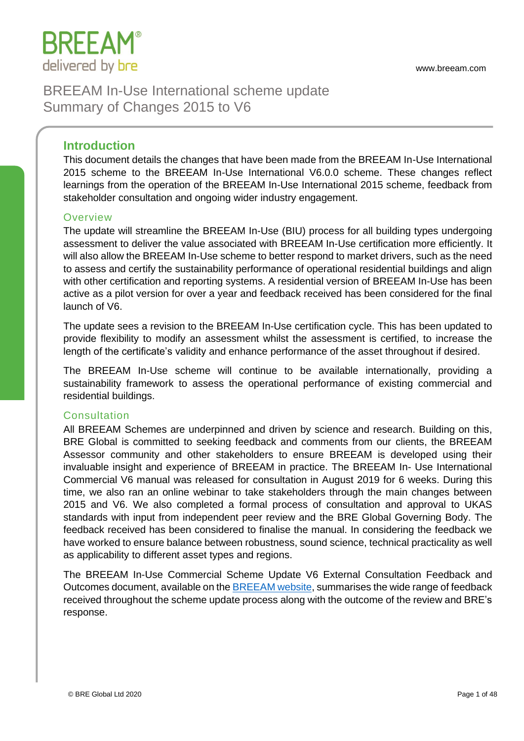

## **Introduction**

This document details the changes that have been made from the BREEAM In-Use International 2015 scheme to the BREEAM In-Use International V6.0.0 scheme. These changes reflect learnings from the operation of the BREEAM In-Use International 2015 scheme, feedback from stakeholder consultation and ongoing wider industry engagement.

### **Overview**

The update will streamline the BREEAM In-Use (BIU) process for all building types undergoing assessment to deliver the value associated with BREEAM In-Use certification more efficiently. It will also allow the BREEAM In-Use scheme to better respond to market drivers, such as the need to assess and certify the sustainability performance of operational residential buildings and align with other certification and reporting systems. A residential version of BREEAM In-Use has been active as a pilot version for over a year and feedback received has been considered for the final launch of V6.

The update sees a revision to the BREEAM In-Use certification cycle. This has been updated to provide flexibility to modify an assessment whilst the assessment is certified, to increase the length of the certificate's validity and enhance performance of the asset throughout if desired.

The BREEAM In-Use scheme will continue to be available internationally, providing a sustainability framework to assess the operational performance of existing commercial and residential buildings.

## **Consultation**

All BREEAM Schemes are underpinned and driven by science and research. Building on this, BRE Global is committed to seeking feedback and comments from our clients, the BREEAM Assessor community and other stakeholders to ensure BREEAM is developed using their invaluable insight and experience of BREEAM in practice. The BREEAM In- Use International Commercial V6 manual was released for consultation in August 2019 for 6 weeks. During this time, we also ran an online webinar to take stakeholders through the main changes between 2015 and V6. We also completed a formal process of consultation and approval to UKAS standards with input from independent peer review and the BRE Global Governing Body. The feedback received has been considered to finalise the manual. In considering the feedback we have worked to ensure balance between robustness, sound science, technical practicality as well as applicability to different asset types and regions.

The BREEAM In-Use Commercial Scheme Update V6 External Consultation Feedback and Outcomes document, available on the [BREEAM website,](https://www.breeam.com/discover/technical-standards/breeam-in-use/) summarises the wide range of feedback received throughout the scheme update process along with the outcome of the review and BRE's response.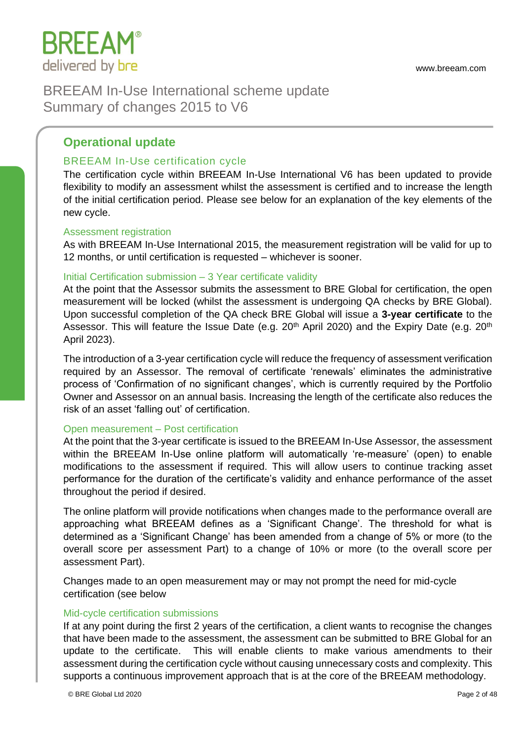

## **Operational update**

## BREEAM In-Use certification cycle

The certification cycle within BREEAM In-Use International V6 has been updated to provide flexibility to modify an assessment whilst the assessment is certified and to increase the length of the initial certification period. Please see below for an explanation of the key elements of the new cycle.

### Assessment registration

As with BREEAM In-Use International 2015, the measurement registration will be valid for up to 12 months, or until certification is requested – whichever is sooner.

### Initial Certification submission – 3 Year certificate validity

At the point that the Assessor submits the assessment to BRE Global for certification, the open measurement will be locked (whilst the assessment is undergoing QA checks by BRE Global). Upon successful completion of the QA check BRE Global will issue a **3-year certificate** to the Assessor. This will feature the Issue Date (e.g. 20<sup>th</sup> April 2020) and the Expiry Date (e.g. 20<sup>th</sup> April 2023).

The introduction of a 3-year certification cycle will reduce the frequency of assessment verification required by an Assessor. The removal of certificate 'renewals' eliminates the administrative process of 'Confirmation of no significant changes', which is currently required by the Portfolio Owner and Assessor on an annual basis. Increasing the length of the certificate also reduces the risk of an asset 'falling out' of certification.

### Open measurement – Post certification

At the point that the 3-year certificate is issued to the BREEAM In-Use Assessor, the assessment within the BREEAM In-Use online platform will automatically 're-measure' (open) to enable modifications to the assessment if required. This will allow users to continue tracking asset performance for the duration of the certificate's validity and enhance performance of the asset throughout the period if desired.

The online platform will provide notifications when changes made to the performance overall are approaching what BREEAM defines as a 'Significant Change'. The threshold for what is determined as a 'Significant Change' has been amended from a change of 5% or more (to the overall score per assessment Part) to a change of 10% or more (to the overall score per assessment Part).

Changes made to an open measurement may or may not prompt the need for mid-cycle certification (see below

### Mid-cycle certification submissions

If at any point during the first 2 years of the certification, a client wants to recognise the changes that have been made to the assessment, the assessment can be submitted to BRE Global for an update to the certificate. This will enable clients to make various amendments to their assessment during the certification cycle without causing unnecessary costs and complexity. This supports a continuous improvement approach that is at the core of the BREEAM methodology.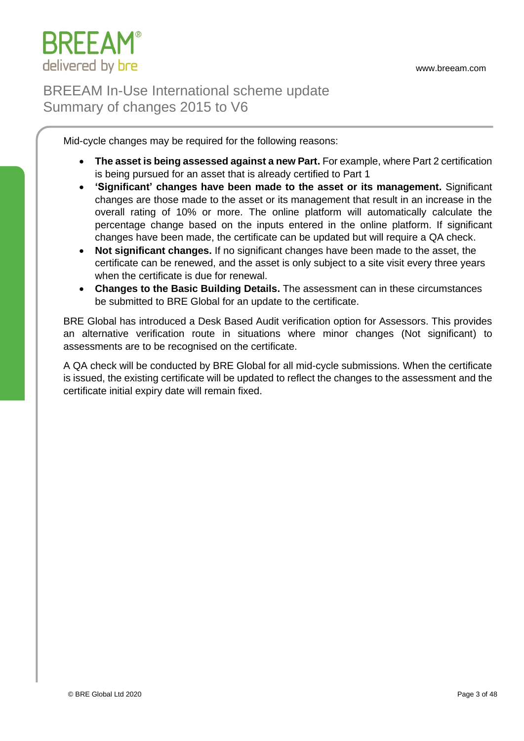

Mid-cycle changes may be required for the following reasons:

- **The asset is being assessed against a new Part.** For example, where Part 2 certification is being pursued for an asset that is already certified to Part 1
- **'Significant' changes have been made to the asset or its management.** Significant changes are those made to the asset or its management that result in an increase in the overall rating of 10% or more. The online platform will automatically calculate the percentage change based on the inputs entered in the online platform. If significant changes have been made, the certificate can be updated but will require a QA check.
- **Not significant changes.** If no significant changes have been made to the asset, the certificate can be renewed, and the asset is only subject to a site visit every three years when the certificate is due for renewal.
- **Changes to the Basic Building Details.** The assessment can in these circumstances be submitted to BRE Global for an update to the certificate.

BRE Global has introduced a Desk Based Audit verification option for Assessors. This provides an alternative verification route in situations where minor changes (Not significant) to assessments are to be recognised on the certificate.

A QA check will be conducted by BRE Global for all mid-cycle submissions. When the certificate is issued, the existing certificate will be updated to reflect the changes to the assessment and the certificate initial expiry date will remain fixed.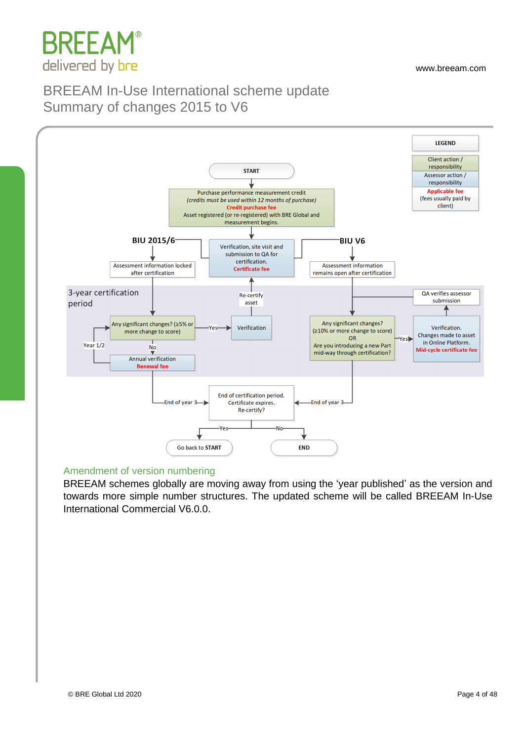



## Amendment of version numbering

BREEAM schemes globally are moving away from using the 'year published' as the version and towards more simple number structures. The updated scheme will be called BREEAM In-Use International Commercial V6.0.0.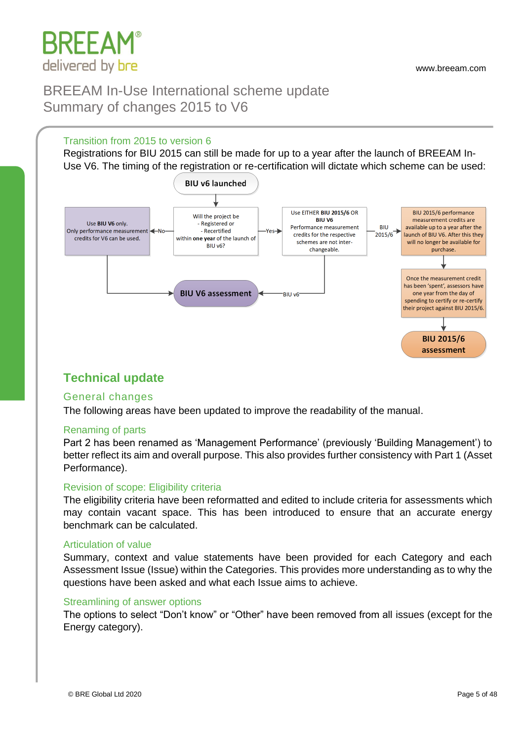

### Transition from 2015 to version 6

Registrations for BIU 2015 can still be made for up to a year after the launch of BREEAM In-Use V6. The timing of the registration or re-certification will dictate which scheme can be used:



## **Technical update**

## General changes

The following areas have been updated to improve the readability of the manual.

### Renaming of parts

Part 2 has been renamed as 'Management Performance' (previously 'Building Management') to better reflect its aim and overall purpose. This also provides further consistency with Part 1 (Asset Performance).

### Revision of scope: Eligibility criteria

The eligibility criteria have been reformatted and edited to include criteria for assessments which may contain vacant space. This has been introduced to ensure that an accurate energy benchmark can be calculated.

### Articulation of value

Summary, context and value statements have been provided for each Category and each Assessment Issue (Issue) within the Categories. This provides more understanding as to why the questions have been asked and what each Issue aims to achieve.

### Streamlining of answer options

The options to select "Don't know" or "Other" have been removed from all issues (except for the Energy category).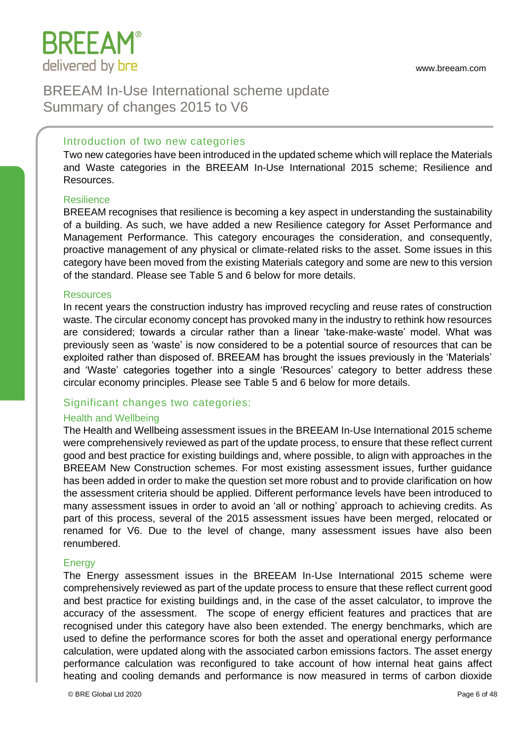

### Introduction of two new categories

Two new categories have been introduced in the updated scheme which will replace the Materials and Waste categories in the BREEAM In-Use International 2015 scheme; Resilience and Resources.

### Resilience

BREEAM recognises that resilience is becoming a key aspect in understanding the sustainability of a building. As such, we have added a new Resilience category for Asset Performance and Management Performance. This category encourages the consideration, and consequently, proactive management of any physical or climate-related risks to the asset. Some issues in this category have been moved from the existing Materials category and some are new to this version of the standard. Please see Table 5 and 6 below for more details.

#### **Resources**

In recent years the construction industry has improved recycling and reuse rates of construction waste. The circular economy concept has provoked many in the industry to rethink how resources are considered; towards a circular rather than a linear 'take-make-waste' model. What was previously seen as 'waste' is now considered to be a potential source of resources that can be exploited rather than disposed of. BREEAM has brought the issues previously in the 'Materials' and 'Waste' categories together into a single 'Resources' category to better address these circular economy principles. Please see Table 5 and 6 below for more details.

### Significant changes two categories:

### Health and Wellbeing

The Health and Wellbeing assessment issues in the BREEAM In-Use International 2015 scheme were comprehensively reviewed as part of the update process, to ensure that these reflect current good and best practice for existing buildings and, where possible, to align with approaches in the BREEAM New Construction schemes. For most existing assessment issues, further guidance has been added in order to make the question set more robust and to provide clarification on how the assessment criteria should be applied. Different performance levels have been introduced to many assessment issues in order to avoid an 'all or nothing' approach to achieving credits. As part of this process, several of the 2015 assessment issues have been merged, relocated or renamed for V6. Due to the level of change, many assessment issues have also been renumbered.

### **Energy**

The Energy assessment issues in the BREEAM In-Use International 2015 scheme were comprehensively reviewed as part of the update process to ensure that these reflect current good and best practice for existing buildings and, in the case of the asset calculator, to improve the accuracy of the assessment. The scope of energy efficient features and practices that are recognised under this category have also been extended. The energy benchmarks, which are used to define the performance scores for both the asset and operational energy performance calculation, were updated along with the associated carbon emissions factors. The asset energy performance calculation was reconfigured to take account of how internal heat gains affect heating and cooling demands and performance is now measured in terms of carbon dioxide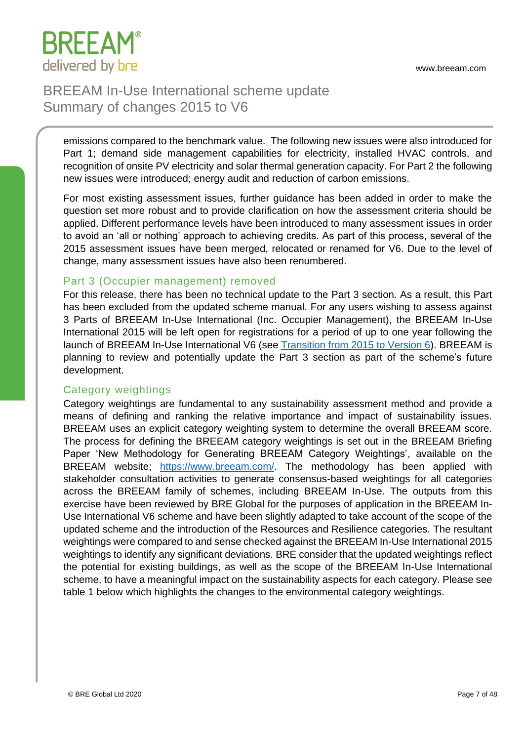

emissions compared to the benchmark value. The following new issues were also introduced for Part 1; demand side management capabilities for electricity, installed HVAC controls, and recognition of onsite PV electricity and solar thermal generation capacity. For Part 2 the following new issues were introduced; energy audit and reduction of carbon emissions.

For most existing assessment issues, further guidance has been added in order to make the question set more robust and to provide clarification on how the assessment criteria should be applied. Different performance levels have been introduced to many assessment issues in order to avoid an 'all or nothing' approach to achieving credits. As part of this process, several of the 2015 assessment issues have been merged, relocated or renamed for V6. Due to the level of change, many assessment issues have also been renumbered.

### Part 3 (Occupier management) removed

For this release, there has been no technical update to the Part 3 section. As a result, this Part has been excluded from the updated scheme manual. For any users wishing to assess against 3 Parts of BREEAM In-Use International (Inc. Occupier Management), the BREEAM In-Use International 2015 will be left open for registrations for a period of up to one year following the launch of BREEAM In-Use International V6 (see Transition from 2015 to Version 6). BREEAM is planning to review and potentially update the Part 3 section as part of the scheme's future development.

### Category weightings

Category weightings are fundamental to any sustainability assessment method and provide a means of defining and ranking the relative importance and impact of sustainability issues. BREEAM uses an explicit category weighting system to determine the overall BREEAM score. The process for defining the BREEAM category weightings is set out in the BREEAM Briefing Paper 'New Methodology for Generating BREEAM Category Weightings', available on the BREEAM website; [https://www.breeam.com/.](https://www.breeam.com/) The methodology has been applied with stakeholder consultation activities to generate consensus-based weightings for all categories across the BREEAM family of schemes, including BREEAM In-Use. The outputs from this exercise have been reviewed by BRE Global for the purposes of application in the BREEAM In-Use International V6 scheme and have been slightly adapted to take account of the scope of the updated scheme and the introduction of the Resources and Resilience categories*.* The resultant weightings were compared to and sense checked against the BREEAM In-Use International 2015 weightings to identify any significant deviations. BRE consider that the updated weightings reflect the potential for existing buildings, as well as the scope of the BREEAM In-Use International scheme, to have a meaningful impact on the sustainability aspects for each category. Please see table 1 below which highlights the changes to the environmental category weightings.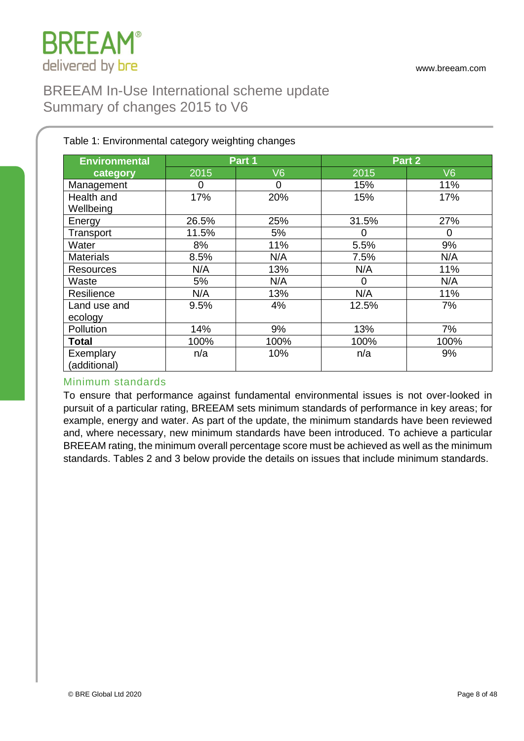

| Table 1: Environmental category weighting changes |  |  |
|---------------------------------------------------|--|--|
|                                                   |  |  |

| <b>Environmental</b> | Part 1 |      |       | Part 2         |
|----------------------|--------|------|-------|----------------|
| category             | 2015   | V6   | 2015  | V <sub>6</sub> |
| Management           | 0      | 0    | 15%   | 11%            |
| Health and           | 17%    | 20%  | 15%   | 17%            |
| Wellbeing            |        |      |       |                |
| Energy               | 26.5%  | 25%  | 31.5% | 27%            |
| Transport            | 11.5%  | 5%   | 0     | 0              |
| Water                | 8%     | 11%  | 5.5%  | 9%             |
| <b>Materials</b>     | 8.5%   | N/A  | 7.5%  | N/A            |
| <b>Resources</b>     | N/A    | 13%  | N/A   | 11%            |
| Waste                | 5%     | N/A  | 0     | N/A            |
| Resilience           | N/A    | 13%  | N/A   | 11%            |
| Land use and         | 9.5%   | 4%   | 12.5% | 7%             |
| ecology              |        |      |       |                |
| Pollution            | 14%    | 9%   | 13%   | 7%             |
| <b>Total</b>         | 100%   | 100% | 100%  | 100%           |
| Exemplary            | n/a    | 10%  | n/a   | 9%             |
| (additional)         |        |      |       |                |

## Minimum standards

To ensure that performance against fundamental environmental issues is not over-looked in pursuit of a particular rating, BREEAM sets minimum standards of performance in key areas; for example, energy and water. As part of the update, the minimum standards have been reviewed and, where necessary, new minimum standards have been introduced. To achieve a particular BREEAM rating, the minimum overall percentage score must be achieved as well as the minimum standards. Tables 2 and 3 below provide the details on issues that include minimum standards.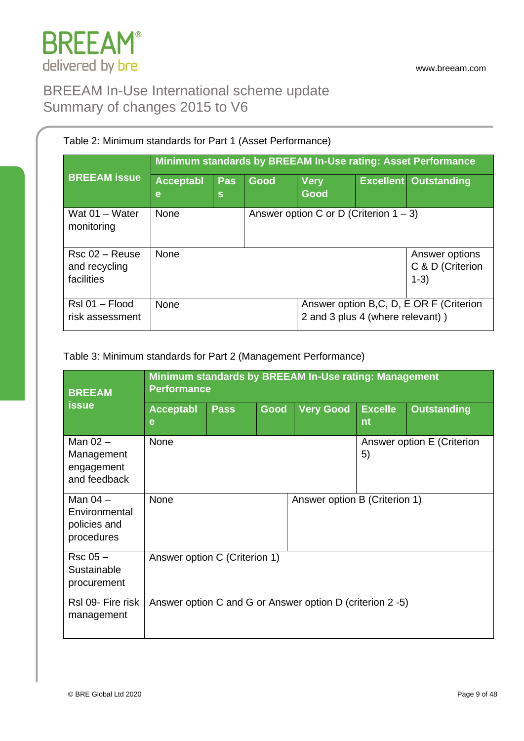

#### Table 2: Minimum standards for Part 1 (Asset Performance) **BREEAM issue Minimum standards by BREEAM In-Use rating: Asset Performance Acceptabl e Pas s Good Very Good Excellent Outstanding** Wat 01 – Water monitoring None Answer option C or D (Criterion  $1 - 3$ ) Rsc 02 – Reuse and recycling facilities None Answer options Answer options C & D (Criterion 1-3) Rsl 01 – Flood risk assessment None Answer option B,C, D, E OR F (Criterion 2 and 3 plus 4 (where relevant) )

Table 3: Minimum standards for Part 2 (Management Performance)

| <b>BREEAM</b>                                             | Minimum standards by BREEAM In-Use rating: Management<br><b>Performance</b> |             |      |                                                           |                            |                    |
|-----------------------------------------------------------|-----------------------------------------------------------------------------|-------------|------|-----------------------------------------------------------|----------------------------|--------------------|
| <b>issue</b>                                              | <b>Acceptabl</b><br>e                                                       | <b>Pass</b> | Good | <b>Very Good</b>                                          | <b>Excelle</b><br>nt       | <b>Outstanding</b> |
| Man $02 -$<br>Management<br>engagement<br>and feedback    | <b>None</b>                                                                 |             |      | 5)                                                        | Answer option E (Criterion |                    |
| Man $04 -$<br>Environmental<br>policies and<br>procedures | <b>None</b><br>Answer option B (Criterion 1)                                |             |      |                                                           |                            |                    |
| $Rsc 05 -$<br>Sustainable<br>procurement                  | Answer option C (Criterion 1)                                               |             |      |                                                           |                            |                    |
| RsI 09- Fire risk<br>management                           |                                                                             |             |      | Answer option C and G or Answer option D (criterion 2 -5) |                            |                    |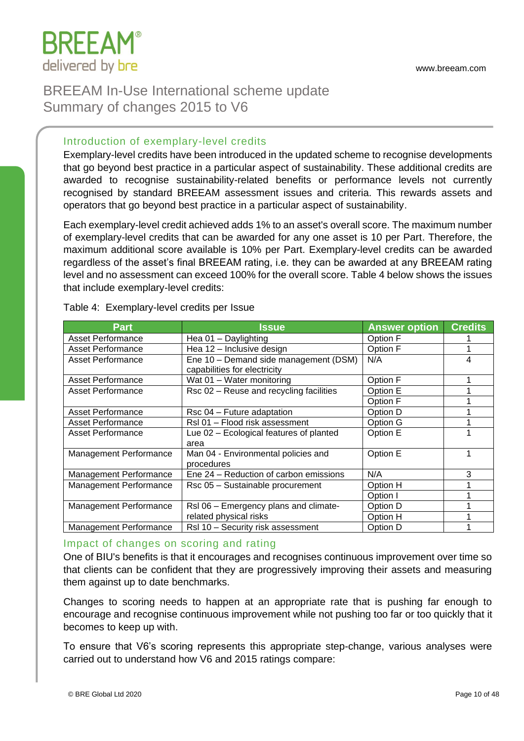

## Introduction of exemplary-level credits

Exemplary-level credits have been introduced in the updated scheme to recognise developments that go beyond best practice in a particular aspect of sustainability. These additional credits are awarded to recognise sustainability-related benefits or performance levels not currently recognised by standard BREEAM assessment issues and criteria. This rewards assets and operators that go beyond best practice in a particular aspect of sustainability.

Each exemplary-level credit achieved adds 1% to an asset's overall score. The maximum number of exemplary-level credits that can be awarded for any one asset is 10 per Part. Therefore, the maximum additional score available is 10% per Part. Exemplary-level credits can be awarded regardless of the asset's final BREEAM rating, i.e. they can be awarded at any BREEAM rating level and no assessment can exceed 100% for the overall score. Table 4 below shows the issues that include exemplary-level credits:

| <b>Part</b>              | <b>Issue</b>                                                          | <b>Answer option</b> | <b>Credits</b> |
|--------------------------|-----------------------------------------------------------------------|----------------------|----------------|
| <b>Asset Performance</b> | Hea 01 - Daylighting                                                  | Option F             |                |
| <b>Asset Performance</b> | Hea 12 - Inclusive design                                             | Option F             |                |
| Asset Performance        | Ene 10 - Demand side management (DSM)<br>capabilities for electricity | N/A                  | 4              |
| <b>Asset Performance</b> | Wat 01 - Water monitoring                                             | Option F             |                |
| <b>Asset Performance</b> | Rsc 02 - Reuse and recycling facilities                               | Option E             |                |
|                          |                                                                       | Option F             |                |
| <b>Asset Performance</b> | Rsc 04 – Future adaptation                                            | Option D             |                |
| Asset Performance        | RsI 01 - Flood risk assessment                                        | Option G             |                |
| Asset Performance        | Lue 02 – Ecological features of planted<br>area                       | Option E             |                |
| Management Performance   | Man 04 - Environmental policies and<br>procedures                     | Option E             |                |
| Management Performance   | Ene 24 - Reduction of carbon emissions                                | N/A                  | 3              |
| Management Performance   | Rsc 05 - Sustainable procurement                                      | Option H             |                |
|                          |                                                                       | Option I             |                |
| Management Performance   | RsI 06 - Emergency plans and climate-                                 | Option D             |                |
|                          | related physical risks                                                | Option H             |                |
| Management Performance   | RsI 10 - Security risk assessment                                     | Option D             |                |

Table 4: Exemplary-level credits per Issue

## Impact of changes on scoring and rating

One of BIU's benefits is that it encourages and recognises continuous improvement over time so that clients can be confident that they are progressively improving their assets and measuring them against up to date benchmarks.

Changes to scoring needs to happen at an appropriate rate that is pushing far enough to encourage and recognise continuous improvement while not pushing too far or too quickly that it becomes to keep up with.

To ensure that V6's scoring represents this appropriate step-change, various analyses were carried out to understand how V6 and 2015 ratings compare: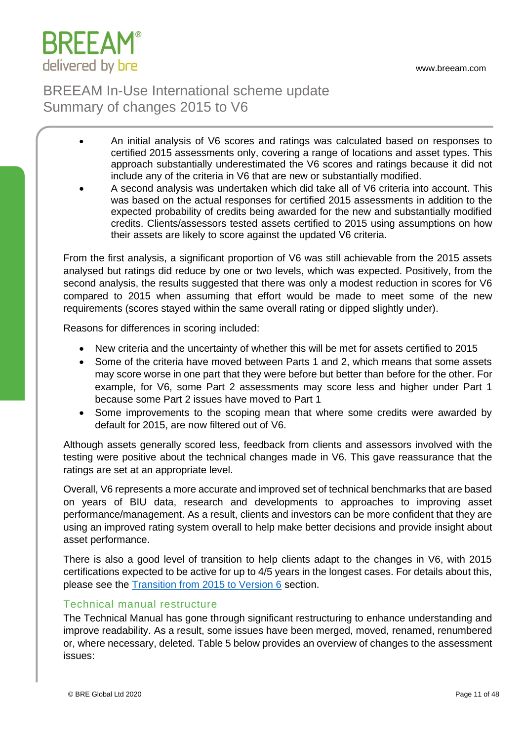www.breeam.com



## BREEAM In-Use International scheme update Summary of changes 2015 to V6

- An initial analysis of V6 scores and ratings was calculated based on responses to certified 2015 assessments only, covering a range of locations and asset types. This approach substantially underestimated the V6 scores and ratings because it did not include any of the criteria in V6 that are new or substantially modified.
- A second analysis was undertaken which did take all of V6 criteria into account. This was based on the actual responses for certified 2015 assessments in addition to the expected probability of credits being awarded for the new and substantially modified credits. Clients/assessors tested assets certified to 2015 using assumptions on how their assets are likely to score against the updated V6 criteria.

From the first analysis, a significant proportion of V6 was still achievable from the 2015 assets analysed but ratings did reduce by one or two levels, which was expected. Positively, from the second analysis, the results suggested that there was only a modest reduction in scores for V6 compared to 2015 when assuming that effort would be made to meet some of the new requirements (scores stayed within the same overall rating or dipped slightly under).

Reasons for differences in scoring included:

- New criteria and the uncertainty of whether this will be met for assets certified to 2015
- Some of the criteria have moved between Parts 1 and 2, which means that some assets may score worse in one part that they were before but better than before for the other. For example, for V6, some Part 2 assessments may score less and higher under Part 1 because some Part 2 issues have moved to Part 1
- Some improvements to the scoping mean that where some credits were awarded by default for 2015, are now filtered out of V6.

Although assets generally scored less, feedback from clients and assessors involved with the testing were positive about the technical changes made in V6. This gave reassurance that the ratings are set at an appropriate level.

Overall, V6 represents a more accurate and improved set of technical benchmarks that are based on years of BIU data, research and developments to approaches to improving asset performance/management. As a result, clients and investors can be more confident that they are using an improved rating system overall to help make better decisions and provide insight about asset performance.

There is also a good level of transition to help clients adapt to the changes in V6, with 2015 certifications expected to be active for up to 4/5 years in the longest cases. For details about this, please see the Transition from 2015 to Version 6 section.

## Technical manual restructure

The Technical Manual has gone through significant restructuring to enhance understanding and improve readability. As a result, some issues have been merged, moved, renamed, renumbered or, where necessary, deleted. Table 5 below provides an overview of changes to the assessment issues: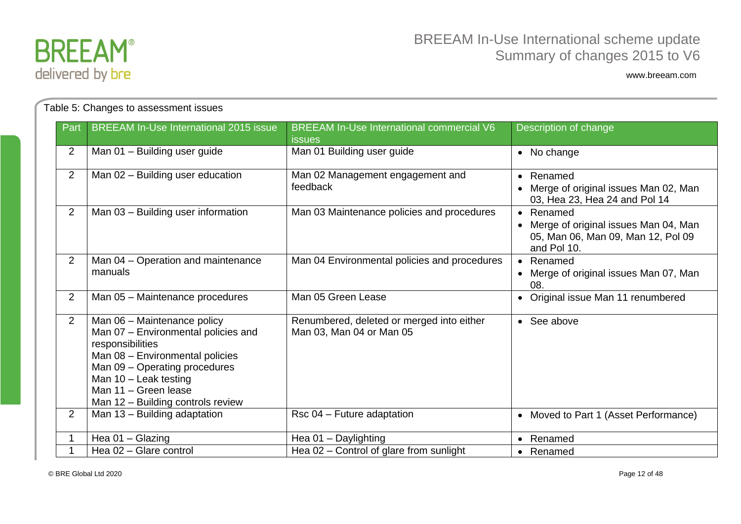

|                | Table 5: Changes to assessment issues                                                                                                                                                                                                              |                                                                       |                                                                                                                                |
|----------------|----------------------------------------------------------------------------------------------------------------------------------------------------------------------------------------------------------------------------------------------------|-----------------------------------------------------------------------|--------------------------------------------------------------------------------------------------------------------------------|
| Part           | <b>BREEAM In-Use International 2015 issue</b>                                                                                                                                                                                                      | <b>BREEAM In-Use International commercial V6</b><br><b>issues</b>     | Description of change                                                                                                          |
| 2              | Man 01 - Building user guide                                                                                                                                                                                                                       | Man 01 Building user guide                                            | • No change                                                                                                                    |
| $\overline{2}$ | Man 02 - Building user education                                                                                                                                                                                                                   | Man 02 Management engagement and<br>feedback                          | Renamed<br>$\bullet$<br>Merge of original issues Man 02, Man<br>$\bullet$<br>03, Hea 23, Hea 24 and Pol 14                     |
| 2              | Man 03 - Building user information                                                                                                                                                                                                                 | Man 03 Maintenance policies and procedures                            | Renamed<br>$\bullet$<br>Merge of original issues Man 04, Man<br>$\bullet$<br>05, Man 06, Man 09, Man 12, Pol 09<br>and Pol 10. |
| 2              | Man 04 – Operation and maintenance<br>manuals                                                                                                                                                                                                      | Man 04 Environmental policies and procedures                          | • Renamed<br>• Merge of original issues Man 07, Man<br>08.                                                                     |
| 2              | Man 05 - Maintenance procedures                                                                                                                                                                                                                    | Man 05 Green Lease                                                    | Original issue Man 11 renumbered<br>$\bullet$                                                                                  |
| $\overline{2}$ | Man 06 - Maintenance policy<br>Man 07 - Environmental policies and<br>responsibilities<br>Man 08 - Environmental policies<br>Man 09 - Operating procedures<br>Man $10$ – Leak testing<br>Man 11 - Green lease<br>Man 12 - Building controls review | Renumbered, deleted or merged into either<br>Man 03, Man 04 or Man 05 | • See above                                                                                                                    |
| $\overline{2}$ | Man 13 - Building adaptation                                                                                                                                                                                                                       | Rsc 04 - Future adaptation                                            | • Moved to Part 1 (Asset Performance)                                                                                          |
| 1              | Hea 01 - Glazing                                                                                                                                                                                                                                   | Hea 01 - Daylighting                                                  | Renamed<br>$\bullet$                                                                                                           |
|                | Hea 02 - Glare control                                                                                                                                                                                                                             | Hea 02 - Control of glare from sunlight                               | • Renamed                                                                                                                      |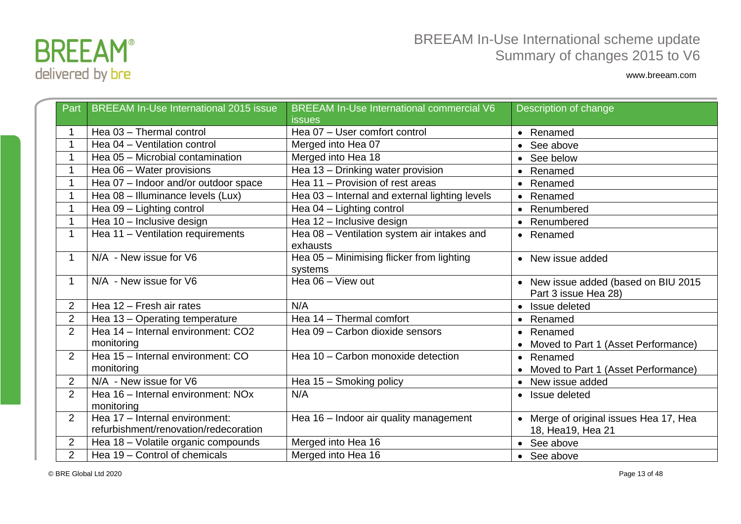

| Part           | <b>BREEAM In-Use International 2015 issue</b>                           | <b>BREEAM In-Use International commercial V6</b>        | Description of change                                        |
|----------------|-------------------------------------------------------------------------|---------------------------------------------------------|--------------------------------------------------------------|
|                |                                                                         | <b>issues</b>                                           |                                                              |
| $\mathbf 1$    | Hea 03 - Thermal control                                                | Hea 07 - User comfort control                           | • Renamed                                                    |
| 1              | Hea 04 - Ventilation control                                            | Merged into Hea 07                                      | See above<br>$\bullet$                                       |
| $\mathbf 1$    | Hea 05 - Microbial contamination                                        | Merged into Hea 18                                      | See below<br>$\bullet$                                       |
| $\mathbf 1$    | Hea 06 - Water provisions                                               | Hea 13 - Drinking water provision                       | • Renamed                                                    |
| $\mathbf 1$    | Hea 07 - Indoor and/or outdoor space                                    | Hea 11 – Provision of rest areas                        | • Renamed                                                    |
| 1              | Hea 08 - Illuminance levels (Lux)                                       | Hea 03 - Internal and external lighting levels          | Renamed<br>$\bullet$                                         |
| $\mathbf 1$    | Hea 09 - Lighting control                                               | Hea 04 - Lighting control                               | Renumbered<br>$\bullet$                                      |
| $\mathbf{1}$   | Hea 10 - Inclusive design                                               | Hea 12 - Inclusive design                               | • Renumbered                                                 |
| $\mathbf 1$    | Hea 11 - Ventilation requirements                                       | Hea 08 - Ventilation system air intakes and<br>exhausts | • Renamed                                                    |
| $\mathbf{1}$   | N/A - New issue for V6                                                  | Hea 05 - Minimising flicker from lighting<br>systems    | • New issue added                                            |
| $\mathbf{1}$   | N/A - New issue for V6                                                  | Hea 06 - View out                                       | • New issue added (based on BIU 2015<br>Part 3 issue Hea 28) |
| $\overline{2}$ | Hea 12 - Fresh air rates                                                | N/A                                                     | Issue deleted                                                |
| $\overline{2}$ | Hea 13 - Operating temperature                                          | Hea 14 - Thermal comfort                                | Renamed<br>$\bullet$                                         |
| 2              | Hea 14 - Internal environment: CO2                                      | Hea 09 - Carbon dioxide sensors                         | • Renamed                                                    |
|                | monitoring                                                              |                                                         | Moved to Part 1 (Asset Performance)                          |
| 2              | Hea 15 - Internal environment: CO                                       | Hea 10 - Carbon monoxide detection                      | • Renamed                                                    |
|                | monitoring                                                              |                                                         | Moved to Part 1 (Asset Performance)                          |
| $\overline{2}$ | N/A - New issue for V6                                                  | Hea 15 - Smoking policy                                 | New issue added<br>$\bullet$                                 |
| 2              | Hea 16 - Internal environment: NOx<br>monitoring                        | N/A                                                     | • Issue deleted                                              |
| $\overline{2}$ | Hea 17 - Internal environment:<br>refurbishment/renovation/redecoration | Hea 16 - Indoor air quality management                  | • Merge of original issues Hea 17, Hea<br>18, Hea19, Hea 21  |
| $\overline{2}$ | Hea 18 - Volatile organic compounds                                     | Merged into Hea 16                                      | See above                                                    |
| $\overline{2}$ | Hea 19 - Control of chemicals                                           | Merged into Hea 16                                      | • See above                                                  |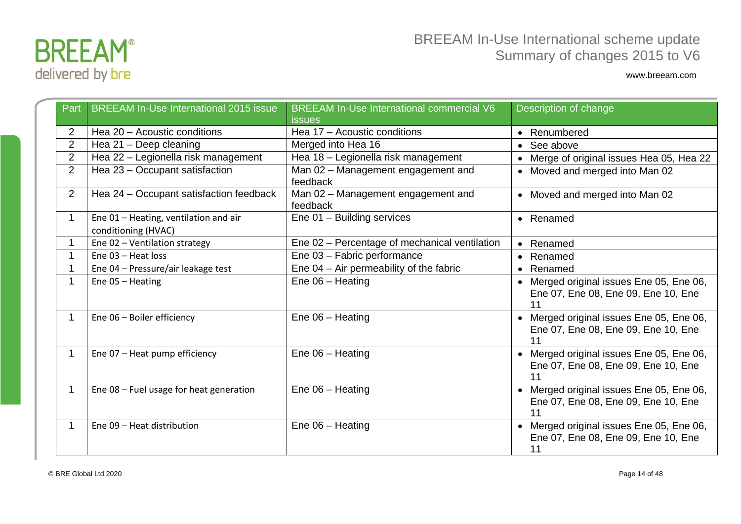

| Part           | <b>BREEAM In-Use International 2015 issue</b>                | <b>BREEAM In-Use International commercial V6</b><br><b>issues</b> | Description of change                                                               |
|----------------|--------------------------------------------------------------|-------------------------------------------------------------------|-------------------------------------------------------------------------------------|
| $\overline{2}$ | Hea 20 - Acoustic conditions                                 | Hea 17 - Acoustic conditions                                      | Renumbered                                                                          |
| 2              | Hea 21 - Deep cleaning                                       | Merged into Hea 16                                                | See above<br>$\bullet$                                                              |
| $\overline{2}$ | Hea 22 - Legionella risk management                          | Hea 18 - Legionella risk management                               | Merge of original issues Hea 05, Hea 22<br>$\bullet$                                |
| $\overline{2}$ | Hea 23 - Occupant satisfaction                               | Man 02 - Management engagement and<br>feedback                    | Moved and merged into Man 02<br>$\bullet$                                           |
| $\overline{2}$ | Hea 24 - Occupant satisfaction feedback                      | Man 02 - Management engagement and<br>feedback                    | Moved and merged into Man 02<br>$\bullet$                                           |
| $\mathbf{1}$   | Ene 01 - Heating, ventilation and air<br>conditioning (HVAC) | Ene 01 - Building services                                        | Renamed<br>$\bullet$                                                                |
| $\mathbf 1$    | Ene 02 - Ventilation strategy                                | Ene 02 - Percentage of mechanical ventilation                     | Renamed<br>$\bullet$                                                                |
| $\mathbf 1$    | Ene 03 - Heat loss                                           | Ene 03 - Fabric performance                                       | Renamed                                                                             |
| $\mathbf{1}$   | Ene 04 - Pressure/air leakage test                           | Ene $04 - Air$ permeability of the fabric                         | Renamed<br>$\bullet$                                                                |
| 1              | Ene 05 - Heating                                             | Ene 06 - Heating                                                  | Merged original issues Ene 05, Ene 06,<br>Ene 07, Ene 08, Ene 09, Ene 10, Ene<br>11 |
| $\mathbf{1}$   | Ene 06 - Boiler efficiency                                   | Ene $06 -$ Heating                                                | Merged original issues Ene 05, Ene 06,<br>Ene 07, Ene 08, Ene 09, Ene 10, Ene<br>11 |
| $\mathbf 1$    | Ene 07 - Heat pump efficiency                                | Ene $06 -$ Heating                                                | Merged original issues Ene 05, Ene 06,<br>Ene 07, Ene 08, Ene 09, Ene 10, Ene<br>11 |
| $\mathbf{1}$   | Ene 08 - Fuel usage for heat generation                      | Ene $06 -$ Heating                                                | Merged original issues Ene 05, Ene 06,<br>Ene 07, Ene 08, Ene 09, Ene 10, Ene<br>11 |
| $\mathbf{1}$   | Ene 09 - Heat distribution                                   | Ene $06$ – Heating                                                | Merged original issues Ene 05, Ene 06,<br>Ene 07, Ene 08, Ene 09, Ene 10, Ene<br>11 |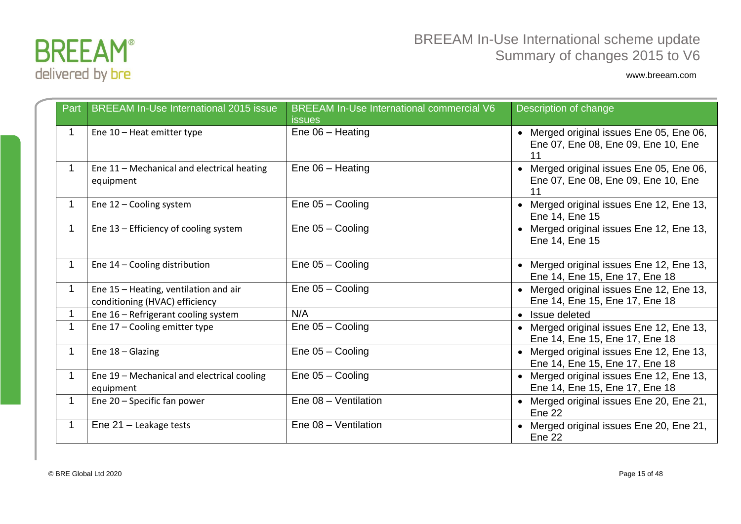

| Part | <b>BREEAM In-Use International 2015 issue</b>                           | <b>BREEAM In-Use International commercial V6</b><br><b>issues</b> | Description of change                                                                            |
|------|-------------------------------------------------------------------------|-------------------------------------------------------------------|--------------------------------------------------------------------------------------------------|
|      | Ene $10$ – Heat emitter type                                            | Ene $06$ – Heating                                                | Merged original issues Ene 05, Ene 06,<br>Ene 07, Ene 08, Ene 09, Ene 10, Ene<br>11              |
|      | Ene 11 - Mechanical and electrical heating<br>equipment                 | Ene 06 - Heating                                                  | Merged original issues Ene 05, Ene 06,<br>$\bullet$<br>Ene 07, Ene 08, Ene 09, Ene 10, Ene<br>11 |
| 1    | Ene 12 - Cooling system                                                 | Ene 05 - Cooling                                                  | Merged original issues Ene 12, Ene 13,<br>$\bullet$<br>Ene 14, Ene 15                            |
| 1    | Ene 13 - Efficiency of cooling system                                   | Ene $05 -$ Cooling                                                | Merged original issues Ene 12, Ene 13,<br>$\bullet$<br>Ene 14, Ene 15                            |
| 1    | Ene 14 - Cooling distribution                                           | Ene 05 - Cooling                                                  | • Merged original issues Ene 12, Ene 13,<br>Ene 14, Ene 15, Ene 17, Ene 18                       |
|      | Ene 15 - Heating, ventilation and air<br>conditioning (HVAC) efficiency | Ene 05 - Cooling                                                  | Merged original issues Ene 12, Ene 13,<br>$\bullet$<br>Ene 14, Ene 15, Ene 17, Ene 18            |
| 1    | Ene 16 - Refrigerant cooling system                                     | N/A                                                               | Issue deleted<br>$\bullet$                                                                       |
| 1    | Ene 17 - Cooling emitter type                                           | Ene 05 - Cooling                                                  | Merged original issues Ene 12, Ene 13,<br>Ene 14, Ene 15, Ene 17, Ene 18                         |
| 1    | Ene $18 -$ Glazing                                                      | Ene 05 - Cooling                                                  | Merged original issues Ene 12, Ene 13,<br>Ene 14, Ene 15, Ene 17, Ene 18                         |
| 1    | Ene 19 - Mechanical and electrical cooling<br>equipment                 | Ene 05 - Cooling                                                  | Merged original issues Ene 12, Ene 13,<br>$\bullet$<br>Ene 14, Ene 15, Ene 17, Ene 18            |
| 1    | Ene 20 - Specific fan power                                             | Ene 08 - Ventilation                                              | Merged original issues Ene 20, Ene 21,<br>Ene 22                                                 |
| 1    | Ene $21$ - Leakage tests                                                | Ene 08 - Ventilation                                              | • Merged original issues Ene 20, Ene 21,<br>Ene 22                                               |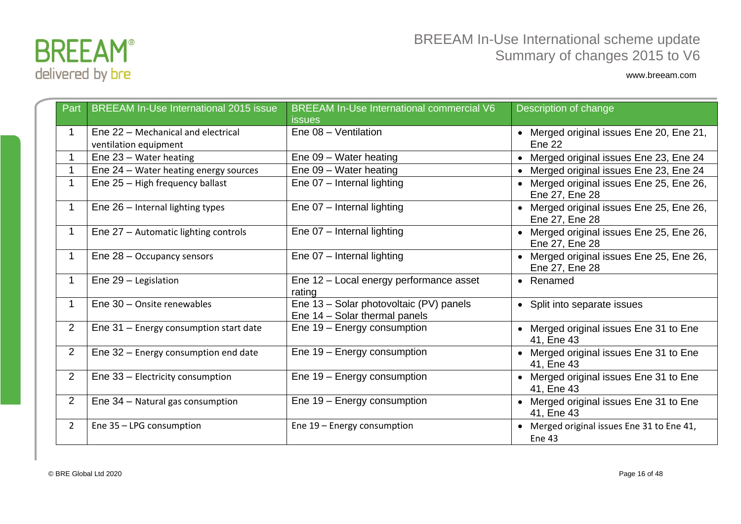

| Part           | <b>BREEAM In-Use International 2015 issue</b>               | <b>BREEAM In-Use International commercial V6</b><br><b>issues</b>        | Description of change                                                  |
|----------------|-------------------------------------------------------------|--------------------------------------------------------------------------|------------------------------------------------------------------------|
| 1              | Ene 22 - Mechanical and electrical<br>ventilation equipment | Ene 08 - Ventilation                                                     | • Merged original issues Ene 20, Ene 21,<br>Ene 22                     |
| 1              | Ene 23 - Water heating                                      | Ene 09 - Water heating                                                   | Merged original issues Ene 23, Ene 24                                  |
| 1              | Ene 24 - Water heating energy sources                       | Ene 09 - Water heating                                                   | Merged original issues Ene 23, Ene 24<br>$\bullet$                     |
| 1              | Ene 25 - High frequency ballast                             | Ene 07 - Internal lighting                                               | Merged original issues Ene 25, Ene 26,<br>Ene 27, Ene 28               |
| 1              | Ene 26 - Internal lighting types                            | Ene 07 - Internal lighting                                               | Merged original issues Ene 25, Ene 26,<br>$\bullet$<br>Ene 27, Ene 28  |
| 1              | Ene 27 - Automatic lighting controls                        | Ene 07 - Internal lighting                                               | Merged original issues Ene 25, Ene 26,<br>Ene 27, Ene 28               |
| 1              | Ene 28 - Occupancy sensors                                  | Ene 07 - Internal lighting                                               | Merged original issues Ene 25, Ene 26,<br>Ene 27, Ene 28               |
| 1              | Ene 29 - Legislation                                        | Ene 12 - Local energy performance asset<br>rating                        | • Renamed                                                              |
| 1              | Ene $30$ – Onsite renewables                                | Ene 13 - Solar photovoltaic (PV) panels<br>Ene 14 - Solar thermal panels | • Split into separate issues                                           |
| $\overline{2}$ | Ene 31 - Energy consumption start date                      | Ene 19 - Energy consumption                                              | Merged original issues Ene 31 to Ene<br>$\bullet$<br>41, Ene 43        |
| 2              | Ene 32 - Energy consumption end date                        | Ene 19 - Energy consumption                                              | Merged original issues Ene 31 to Ene<br>41, Ene 43                     |
| 2              | Ene 33 - Electricity consumption                            | Ene 19 - Energy consumption                                              | • Merged original issues Ene 31 to Ene<br>41, Ene 43                   |
| $\overline{2}$ | Ene 34 - Natural gas consumption                            | Ene 19 - Energy consumption                                              | Merged original issues Ene 31 to Ene<br>41, Ene 43                     |
| $\overline{2}$ | Ene 35 - LPG consumption                                    | Ene $19$ – Energy consumption                                            | Merged original issues Ene 31 to Ene 41,<br>$\bullet$<br><b>Ene 43</b> |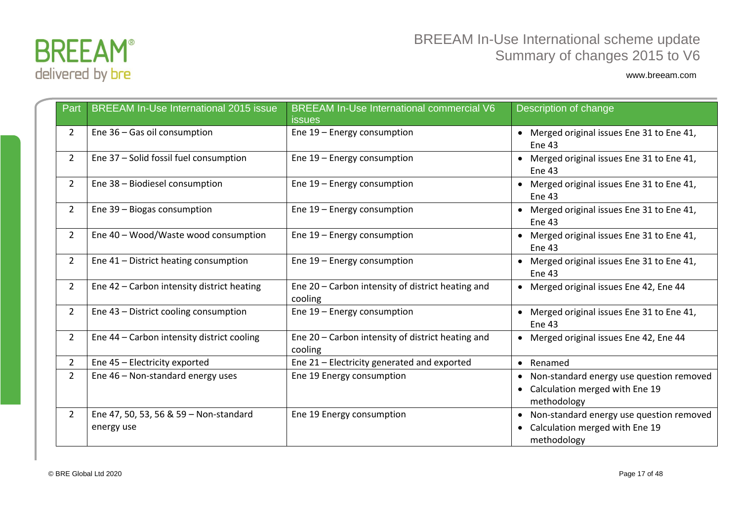

| Part           | <b>BREEAM In-Use International 2015 issue</b>        | <b>BREEAM In-Use International commercial V6</b><br><b>issues</b> | Description of change                                                                                    |
|----------------|------------------------------------------------------|-------------------------------------------------------------------|----------------------------------------------------------------------------------------------------------|
| $\overline{2}$ | Ene 36 - Gas oil consumption                         | Ene $19$ – Energy consumption                                     | • Merged original issues Ene 31 to Ene 41,<br>Ene 43                                                     |
| $\overline{2}$ | Ene 37 - Solid fossil fuel consumption               | Ene $19$ – Energy consumption                                     | Merged original issues Ene 31 to Ene 41,<br><b>Ene 43</b>                                                |
| $\overline{2}$ | Ene 38 - Biodiesel consumption                       | Ene $19$ – Energy consumption                                     | Merged original issues Ene 31 to Ene 41,<br>$\bullet$<br>Ene 43                                          |
| $\overline{2}$ | Ene 39 - Biogas consumption                          | Ene $19$ – Energy consumption                                     | • Merged original issues Ene 31 to Ene 41,<br><b>Ene 43</b>                                              |
| $\overline{2}$ | Ene 40 - Wood/Waste wood consumption                 | Ene $19$ – Energy consumption                                     | Merged original issues Ene 31 to Ene 41,<br>$\bullet$<br>Ene 43                                          |
| $\overline{2}$ | Ene 41 - District heating consumption                | Ene $19$ – Energy consumption                                     | Merged original issues Ene 31 to Ene 41,<br><b>Ene 43</b>                                                |
| $\overline{2}$ | Ene 42 - Carbon intensity district heating           | Ene 20 - Carbon intensity of district heating and<br>cooling      | • Merged original issues Ene 42, Ene 44                                                                  |
| $\overline{2}$ | Ene 43 - District cooling consumption                | Ene 19 - Energy consumption                                       | Merged original issues Ene 31 to Ene 41,<br>Ene <sub>43</sub>                                            |
| $\overline{2}$ | Ene 44 - Carbon intensity district cooling           | Ene 20 - Carbon intensity of district heating and<br>cooling      | Merged original issues Ene 42, Ene 44<br>$\bullet$                                                       |
| $\overline{2}$ | Ene 45 - Electricity exported                        | Ene 21 - Electricity generated and exported                       | • Renamed                                                                                                |
| $\overline{2}$ | Ene 46 - Non-standard energy uses                    | Ene 19 Energy consumption                                         | • Non-standard energy use question removed<br>Calculation merged with Ene 19<br>$\bullet$<br>methodology |
| $\overline{2}$ | Ene 47, 50, 53, 56 & 59 - Non-standard<br>energy use | Ene 19 Energy consumption                                         | Non-standard energy use question removed<br>Calculation merged with Ene 19<br>$\bullet$<br>methodology   |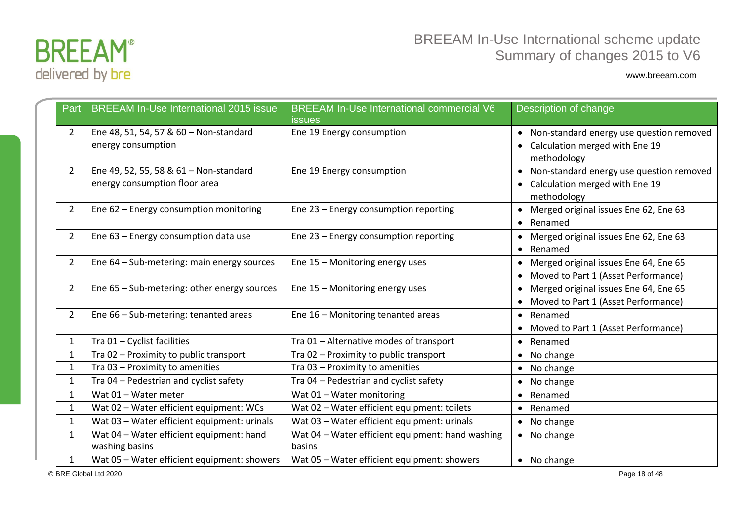

| Part           | <b>BREEAM In-Use International 2015 issue</b>                           | <b>BREEAM In-Use International commercial V6</b><br><i>issues</i> | Description of change                                                                       |
|----------------|-------------------------------------------------------------------------|-------------------------------------------------------------------|---------------------------------------------------------------------------------------------|
| $\overline{2}$ | Ene 48, 51, 54, 57 & 60 - Non-standard<br>energy consumption            | Ene 19 Energy consumption                                         | • Non-standard energy use question removed<br>Calculation merged with Ene 19<br>methodology |
| $\overline{2}$ | Ene 49, 52, 55, 58 & 61 - Non-standard<br>energy consumption floor area | Ene 19 Energy consumption                                         | Non-standard energy use question removed<br>Calculation merged with Ene 19<br>methodology   |
| $\overline{2}$ | Ene 62 - Energy consumption monitoring                                  | Ene 23 - Energy consumption reporting                             | Merged original issues Ene 62, Ene 63<br>Renamed                                            |
| $\overline{2}$ | Ene 63 - Energy consumption data use                                    | Ene 23 - Energy consumption reporting                             | Merged original issues Ene 62, Ene 63<br>Renamed<br>$\bullet$                               |
| $\overline{2}$ | Ene 64 - Sub-metering: main energy sources                              | Ene 15 - Monitoring energy uses                                   | Merged original issues Ene 64, Ene 65<br>Moved to Part 1 (Asset Performance)                |
| $\overline{2}$ | Ene $65 -$ Sub-metering: other energy sources                           | Ene 15 - Monitoring energy uses                                   | Merged original issues Ene 64, Ene 65<br>Moved to Part 1 (Asset Performance)                |
| $\overline{2}$ | Ene 66 - Sub-metering: tenanted areas                                   | Ene 16 - Monitoring tenanted areas                                | Renamed<br>$\bullet$<br>Moved to Part 1 (Asset Performance)                                 |
| $\mathbf{1}$   | Tra 01 - Cyclist facilities                                             | Tra 01 - Alternative modes of transport                           | Renamed<br>$\bullet$                                                                        |
| $\mathbf{1}$   | Tra 02 - Proximity to public transport                                  | Tra 02 - Proximity to public transport                            | No change<br>$\bullet$                                                                      |
| $\mathbf{1}$   | Tra 03 - Proximity to amenities                                         | Tra 03 - Proximity to amenities                                   | No change<br>$\bullet$                                                                      |
| $\mathbf{1}$   | Tra 04 - Pedestrian and cyclist safety                                  | Tra 04 - Pedestrian and cyclist safety                            | No change                                                                                   |
| $\mathbf{1}$   | Wat 01 - Water meter                                                    | Wat 01 - Water monitoring                                         | Renamed<br>$\bullet$                                                                        |
| $\mathbf{1}$   | Wat 02 - Water efficient equipment: WCs                                 | Wat 02 - Water efficient equipment: toilets                       | Renamed<br>$\bullet$                                                                        |
| $\mathbf{1}$   | Wat 03 - Water efficient equipment: urinals                             | Wat 03 - Water efficient equipment: urinals                       | No change<br>$\bullet$                                                                      |
| $\mathbf{1}$   | Wat 04 - Water efficient equipment: hand<br>washing basins              | Wat 04 - Water efficient equipment: hand washing<br>basins        | No change<br>$\bullet$                                                                      |
| $\mathbf{1}$   | Wat 05 - Water efficient equipment: showers                             | Wat 05 - Water efficient equipment: showers                       | • No change                                                                                 |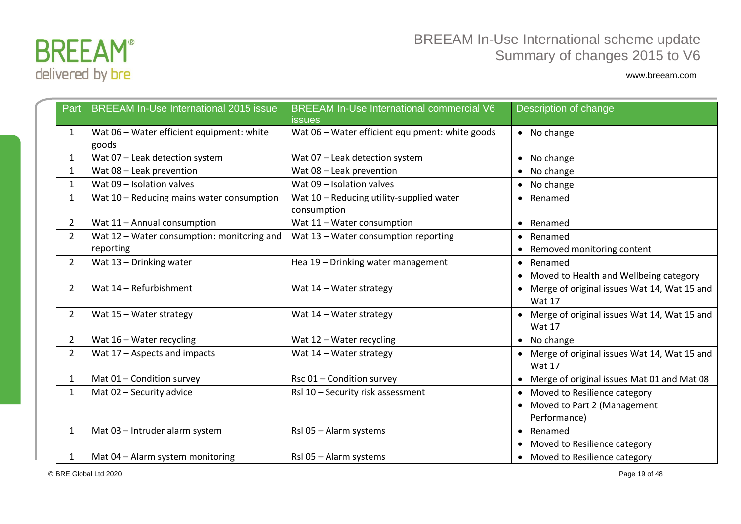

| Part           | <b>BREEAM In-Use International 2015 issue</b>           | <b>BREEAM In-Use International commercial V6</b><br><b>issues</b> | Description of change                                                         |
|----------------|---------------------------------------------------------|-------------------------------------------------------------------|-------------------------------------------------------------------------------|
| $\mathbf{1}$   | Wat 06 - Water efficient equipment: white<br>goods      | Wat 06 - Water efficient equipment: white goods                   | • No change                                                                   |
| 1              | Wat 07 - Leak detection system                          | Wat 07 - Leak detection system                                    | • No change                                                                   |
| $\mathbf{1}$   | Wat 08 - Leak prevention                                | Wat 08 - Leak prevention                                          | $\bullet$ No change                                                           |
| $\mathbf{1}$   | Wat 09 - Isolation valves                               | Wat 09 - Isolation valves                                         | • No change                                                                   |
| $\mathbf{1}$   | Wat 10 - Reducing mains water consumption               | Wat 10 - Reducing utility-supplied water<br>consumption           | • Renamed                                                                     |
| $\overline{2}$ | Wat 11 - Annual consumption                             | Wat 11 - Water consumption                                        | • Renamed                                                                     |
| $\overline{2}$ | Wat 12 - Water consumption: monitoring and<br>reporting | Wat 13 - Water consumption reporting                              | • Renamed<br>• Removed monitoring content                                     |
| $\overline{2}$ | Wat $13$ – Drinking water                               | Hea 19 - Drinking water management                                | • Renamed<br>• Moved to Health and Wellbeing category                         |
| $\overline{2}$ | Wat 14 - Refurbishment                                  | Wat $14$ – Water strategy                                         | • Merge of original issues Wat 14, Wat 15 and<br><b>Wat 17</b>                |
| $\overline{2}$ | Wat 15 - Water strategy                                 | Wat $14$ – Water strategy                                         | • Merge of original issues Wat 14, Wat 15 and<br><b>Wat 17</b>                |
| $\overline{2}$ | Wat $16 - Water$ recycling                              | Wat $12 - Water$ recycling                                        | • No change                                                                   |
| $\overline{2}$ | Wat $17 -$ Aspects and impacts                          | Wat $14$ – Water strategy                                         | • Merge of original issues Wat 14, Wat 15 and<br><b>Wat 17</b>                |
| $\mathbf{1}$   | Mat $01$ – Condition survey                             | Rsc 01 - Condition survey                                         | Merge of original issues Mat 01 and Mat 08                                    |
| $\mathbf{1}$   | Mat 02 - Security advice                                | Rsl 10 - Security risk assessment                                 | • Moved to Resilience category<br>Moved to Part 2 (Management<br>Performance) |
| $\mathbf{1}$   | Mat 03 - Intruder alarm system                          | Rsl 05 - Alarm systems                                            | • Renamed<br>• Moved to Resilience category                                   |
| 1              | Mat 04 - Alarm system monitoring                        | Rsl 05 - Alarm systems                                            | • Moved to Resilience category                                                |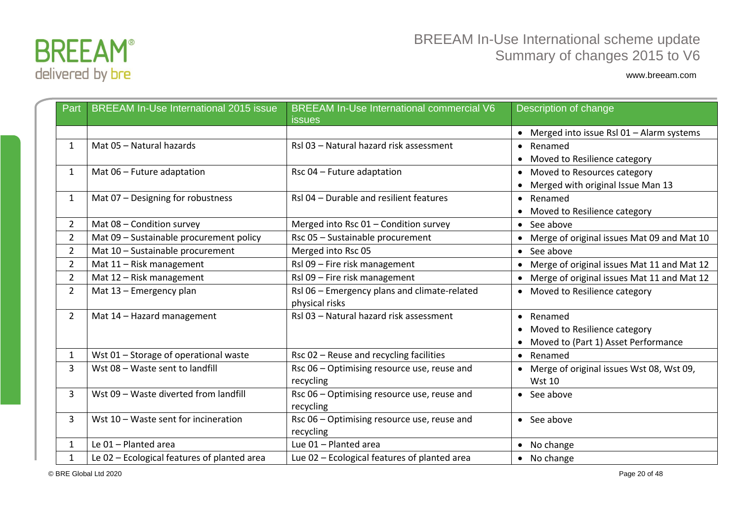

| Part           | <b>BREEAM In-Use International 2015 issue</b> | <b>BREEAM In-Use International commercial V6</b><br><b>issues</b> | Description of change                      |
|----------------|-----------------------------------------------|-------------------------------------------------------------------|--------------------------------------------|
|                |                                               |                                                                   | • Merged into issue RsI 01 - Alarm systems |
| $\mathbf{1}$   | Mat 05 - Natural hazards                      | Rsl 03 - Natural hazard risk assessment                           | Renamed<br>$\bullet$                       |
|                |                                               |                                                                   | Moved to Resilience category               |
| $\mathbf{1}$   | Mat 06 - Future adaptation                    | Rsc 04 - Future adaptation                                        | Moved to Resources category                |
|                |                                               |                                                                   | Merged with original Issue Man 13          |
| $\mathbf{1}$   | Mat 07 - Designing for robustness             | Rsl 04 - Durable and resilient features                           | Renamed<br>$\bullet$                       |
|                |                                               |                                                                   | Moved to Resilience category               |
| $\overline{2}$ | Mat 08 - Condition survey                     | Merged into Rsc 01 - Condition survey                             | • See above                                |
| $\overline{2}$ | Mat 09 - Sustainable procurement policy       | Rsc 05 - Sustainable procurement                                  | Merge of original issues Mat 09 and Mat 10 |
| $\overline{2}$ | Mat 10 - Sustainable procurement              | Merged into Rsc 05                                                | • See above                                |
| $\overline{2}$ | Mat 11 - Risk management                      | Rsl 09 - Fire risk management                                     | Merge of original issues Mat 11 and Mat 12 |
| $\overline{2}$ | Mat 12 - Risk management                      | Rsl 09 - Fire risk management                                     | Merge of original issues Mat 11 and Mat 12 |
| $\overline{2}$ | Mat 13 - Emergency plan                       | Rsl 06 - Emergency plans and climate-related                      | • Moved to Resilience category             |
|                |                                               | physical risks                                                    |                                            |
| $\overline{2}$ | Mat 14 - Hazard management                    | Rsl 03 - Natural hazard risk assessment                           | Renamed<br>$\bullet$                       |
|                |                                               |                                                                   | Moved to Resilience category               |
|                |                                               |                                                                   | Moved to (Part 1) Asset Performance        |
| $\mathbf{1}$   | Wst $01$ – Storage of operational waste       | Rsc 02 - Reuse and recycling facilities                           | Renamed<br>$\bullet$                       |
| 3              | Wst 08 - Waste sent to landfill               | Rsc 06 - Optimising resource use, reuse and                       | Merge of original issues Wst 08, Wst 09,   |
|                |                                               | recycling                                                         | <b>Wst 10</b>                              |
| $\overline{3}$ | Wst 09 - Waste diverted from landfill         | Rsc 06 - Optimising resource use, reuse and                       | • See above                                |
|                |                                               | recycling                                                         |                                            |
| 3              | Wst 10 - Waste sent for incineration          | Rsc 06 - Optimising resource use, reuse and                       | • See above                                |
|                |                                               | recycling                                                         |                                            |
| $\mathbf{1}$   | Le 01 - Planted area                          | Lue 01 - Planted area                                             | No change<br>$\bullet$                     |
| $\mathbf{1}$   | Le 02 - Ecological features of planted area   | Lue 02 - Ecological features of planted area                      | • No change                                |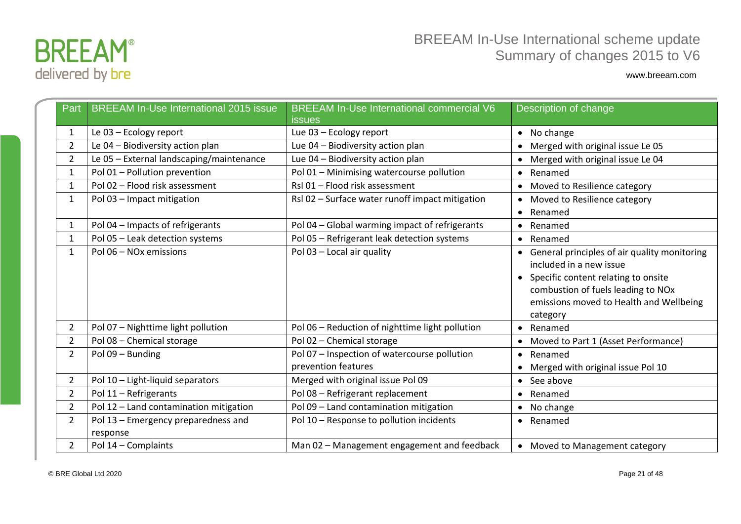

| Part           | <b>BREEAM</b> In-Use International 2015 issue   | <b>BREEAM In-Use International commercial V6</b><br><b>issues</b> | Description of change                                                                                                                                                                                                    |
|----------------|-------------------------------------------------|-------------------------------------------------------------------|--------------------------------------------------------------------------------------------------------------------------------------------------------------------------------------------------------------------------|
| 1              | Le 03 - Ecology report                          | Lue 03 - Ecology report                                           | • No change                                                                                                                                                                                                              |
| $\overline{2}$ | Le 04 - Biodiversity action plan                | Lue 04 - Biodiversity action plan                                 | • Merged with original issue Le 05                                                                                                                                                                                       |
| $\overline{2}$ | Le 05 - External landscaping/maintenance        | Lue 04 - Biodiversity action plan                                 | • Merged with original issue Le 04                                                                                                                                                                                       |
| $\mathbf{1}$   | Pol 01 - Pollution prevention                   | Pol 01 - Minimising watercourse pollution                         | • Renamed                                                                                                                                                                                                                |
| 1              | Pol 02 - Flood risk assessment                  | Rsl 01 - Flood risk assessment                                    | • Moved to Resilience category                                                                                                                                                                                           |
| $\mathbf{1}$   | Pol 03 - Impact mitigation                      | Rsl 02 - Surface water runoff impact mitigation                   | • Moved to Resilience category                                                                                                                                                                                           |
|                |                                                 |                                                                   | Renamed<br>$\bullet$                                                                                                                                                                                                     |
| $\mathbf{1}$   | Pol 04 - Impacts of refrigerants                | Pol 04 - Global warming impact of refrigerants                    | Renamed<br>$\bullet$                                                                                                                                                                                                     |
| 1              | Pol 05 - Leak detection systems                 | Pol 05 - Refrigerant leak detection systems                       | • Renamed                                                                                                                                                                                                                |
| $\mathbf{1}$   | Pol 06 - NOx emissions                          | Pol 03 - Local air quality                                        | General principles of air quality monitoring<br>$\bullet$<br>included in a new issue<br>Specific content relating to onsite<br>combustion of fuels leading to NOx<br>emissions moved to Health and Wellbeing<br>category |
| $\overline{2}$ | Pol 07 - Nighttime light pollution              | Pol 06 - Reduction of nighttime light pollution                   | • Renamed                                                                                                                                                                                                                |
| $\overline{2}$ | Pol 08 - Chemical storage                       | Pol 02 - Chemical storage                                         | • Moved to Part 1 (Asset Performance)                                                                                                                                                                                    |
| $\overline{2}$ | Pol 09 - Bunding                                | Pol 07 - Inspection of watercourse pollution                      | • Renamed                                                                                                                                                                                                                |
|                |                                                 | prevention features                                               | Merged with original issue Pol 10<br>$\bullet$                                                                                                                                                                           |
| $\overline{2}$ | Pol 10 - Light-liquid separators                | Merged with original issue Pol 09                                 | • See above                                                                                                                                                                                                              |
| $\overline{2}$ | Pol 11 - Refrigerants                           | Pol 08 - Refrigerant replacement                                  | • Renamed                                                                                                                                                                                                                |
| $\overline{2}$ | Pol 12 - Land contamination mitigation          | Pol 09 - Land contamination mitigation                            | • No change                                                                                                                                                                                                              |
| $\overline{2}$ | Pol 13 - Emergency preparedness and<br>response | Pol 10 - Response to pollution incidents                          | • Renamed                                                                                                                                                                                                                |
| $\overline{2}$ | Pol 14 - Complaints                             | Man 02 - Management engagement and feedback                       | • Moved to Management category                                                                                                                                                                                           |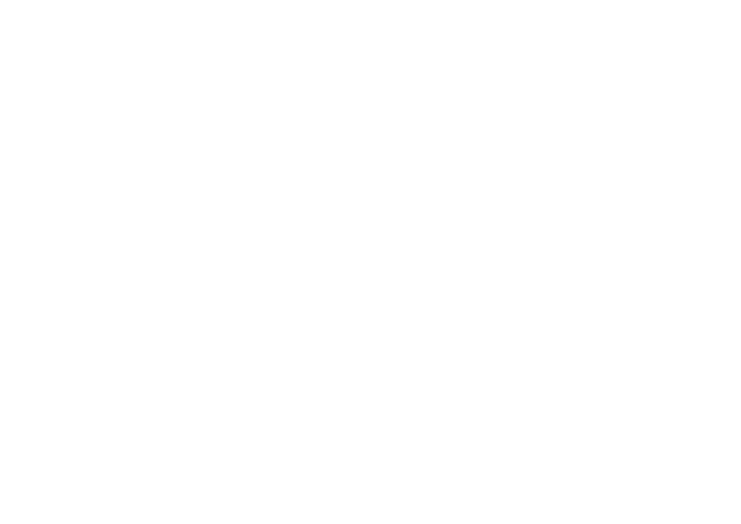applied. Different performance levels have been introduced to many assessment issues in order WR DYRLG DQ µDOO RU QRWKLQJ¶ DSSURDFK WR DFKLHYLQ, 2015 assessment issues have been merged, relocated or renamed for V6. Due to the level of change, many assessment issues have also been renumbered.

### Part 3 (Occupier management) removed

For this release, there has been no technical update to the Part 3 section. As a result, this Part has been excluded from the updated scheme manual. For any users wishing to assess against 3 Parts of BREEAM In-Use International (Inc. Occupier Management), the BREEAM In-Use International 2015 will be left open for registrations for a period of up to one year following the launch of BREEAM In-Use International V6 (see Transition from 2015 to Version 6). BREEAM is planning to review and potentially update the Part 3 section as part of the VFKHPH¶V IXV development.

### **Category weightings**

Category weightings are fundamental to any sustainability assessment method and provide a means of defining and ranking the relative importance and impact of sustainability issues. BREEAM uses an explicit category weighting system to determine the overall BREEAM score. The process for defining the BREEAM category weightings is set out in the BREEAM Briefing 3DSHU µ1HZ 0HWKRGRORJ\IRU \*HQHUDWLQJa‰ttable\$ on t&eDWH. BREEAM website; https://www.breeam.com/. The methodology has been applied with stakeholder consultation activities to generate consensus-based weightings for all categories across the BREEAM family of schemes, including BREEAM In-Use. The outputs from this exercise have been reviewed by BRE Global for the purposes of application in the BREEAM In-Use International V6 scheme and have been slightly adapted to take account of the scope of the updated scheme and the introduction of the Resources and Resilience categories. The resultant weightings were compared to and sense checked against the BREEAM In-Use International 2015 weightings to identify any significant deviations. BRE consider that the updated weightings reflect the potential for existing buildings, as well as the scope of the BREEAM In-Use International scheme, to have a meaningful impact on the sustainability aspects for each category. Please see table 1 below which highlights the changes to the environmental category weightings.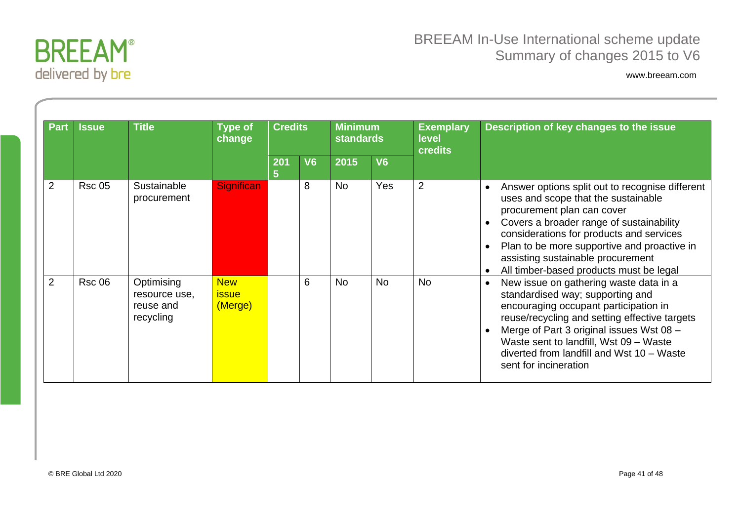

| <b>Part</b>    | <b>Issue</b>  | <b>Title</b>                                          | <b>Type of</b><br>change              | <b>Credits</b>        |                | <b>Minimum</b><br><b>standards</b> |                | <b>Exemplary</b><br>level<br><b>credits</b> | Description of key changes to the issue                                                                                                                                                                                                                                                                                                                               |
|----------------|---------------|-------------------------------------------------------|---------------------------------------|-----------------------|----------------|------------------------------------|----------------|---------------------------------------------|-----------------------------------------------------------------------------------------------------------------------------------------------------------------------------------------------------------------------------------------------------------------------------------------------------------------------------------------------------------------------|
|                |               |                                                       |                                       | 201<br>5 <sup>5</sup> | V <sub>6</sub> | 2015                               | V <sub>6</sub> |                                             |                                                                                                                                                                                                                                                                                                                                                                       |
| 2              | <b>Rsc 05</b> | Sustainable<br>procurement                            | SignificanW                           |                       | 8              | <b>No</b>                          | <b>Yes</b>     | $\overline{2}$                              | Answer options split out to recognise different<br>$\bullet$<br>uses and scope that the sustainable<br>procurement plan can cover<br>Covers a broader range of sustainability<br>$\bullet$<br>considerations for products and services<br>Plan to be more supportive and proactive in<br>assisting sustainable procurement<br>All timber-based products must be legal |
| $\overline{2}$ | <b>Rsc 06</b> | Optimising<br>resource use,<br>reuse and<br>recycling | <b>New</b><br><i>issue</i><br>(Merge) |                       | 6              | <b>No</b>                          | <b>No</b>      | <b>No</b>                                   | New issue on gathering waste data in a<br>$\bullet$<br>standardised way; supporting and<br>encouraging occupant participation in<br>reuse/recycling and setting effective targets<br>Merge of Part 3 original issues Wst 08 -<br>Waste sent to landfill, Wst 09 - Waste<br>diverted from landfill and Wst 10 - Waste<br>sent for incineration                         |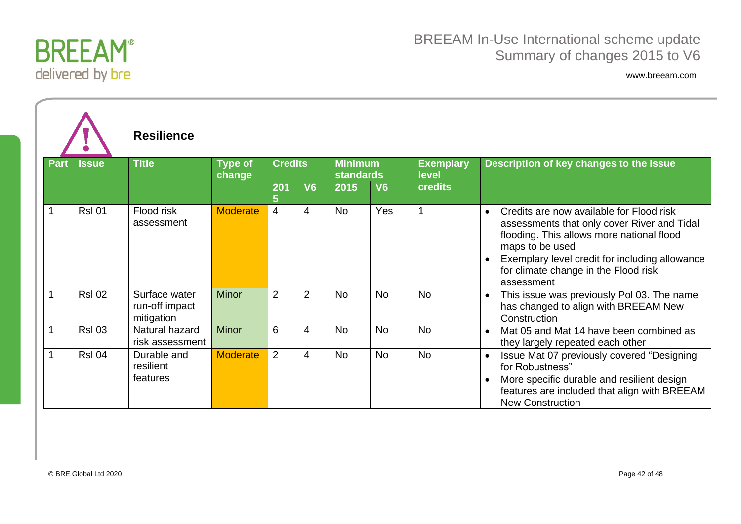

|             |               | <b>Resilience</b>                             |                          |                |                |                                    |                |                           |                                                                                                                                                                                                                                                                              |
|-------------|---------------|-----------------------------------------------|--------------------------|----------------|----------------|------------------------------------|----------------|---------------------------|------------------------------------------------------------------------------------------------------------------------------------------------------------------------------------------------------------------------------------------------------------------------------|
| <b>Part</b> | <b>Issue</b>  | <b>Title</b>                                  | <b>Type of</b><br>change | <b>Credits</b> |                | <b>Minimum</b><br><b>standards</b> |                | <b>Exemplary</b><br>level | Description of key changes to the issue                                                                                                                                                                                                                                      |
|             |               |                                               |                          | 201<br>5       | V <sub>6</sub> | 2015                               | V <sub>6</sub> | <b>credits</b>            |                                                                                                                                                                                                                                                                              |
|             | <b>RsI 01</b> | Flood risk<br>assessment                      | <b>Moderate</b>          | $\overline{4}$ | $\overline{4}$ | <b>No</b>                          | Yes            | 1                         | Credits are now available for Flood risk<br>$\bullet$<br>assessments that only cover River and Tidal<br>flooding. This allows more national flood<br>maps to be used<br>Exemplary level credit for including allowance<br>for climate change in the Flood risk<br>assessment |
|             | <b>RsI 02</b> | Surface water<br>run-off impact<br>mitigation | <b>Minor</b>             | $\overline{2}$ | $\overline{2}$ | <b>No</b>                          | <b>No</b>      | <b>No</b>                 | This issue was previously Pol 03. The name<br>has changed to align with BREEAM New<br>Construction                                                                                                                                                                           |
|             | <b>RsI 03</b> | Natural hazard<br>risk assessment             | <b>Minor</b>             | 6              | $\overline{4}$ | <b>No</b>                          | <b>No</b>      | <b>No</b>                 | Mat 05 and Mat 14 have been combined as<br>$\bullet$<br>they largely repeated each other                                                                                                                                                                                     |
|             | <b>RsI 04</b> | Durable and<br>resilient<br>features          | <b>Moderate</b>          | 2              | $\overline{4}$ | <b>No</b>                          | <b>No</b>      | <b>No</b>                 | Issue Mat 07 previously covered "Designing<br>for Robustness"<br>More specific durable and resilient design<br>$\bullet$<br>features are included that align with BREEAM<br><b>New Construction</b>                                                                          |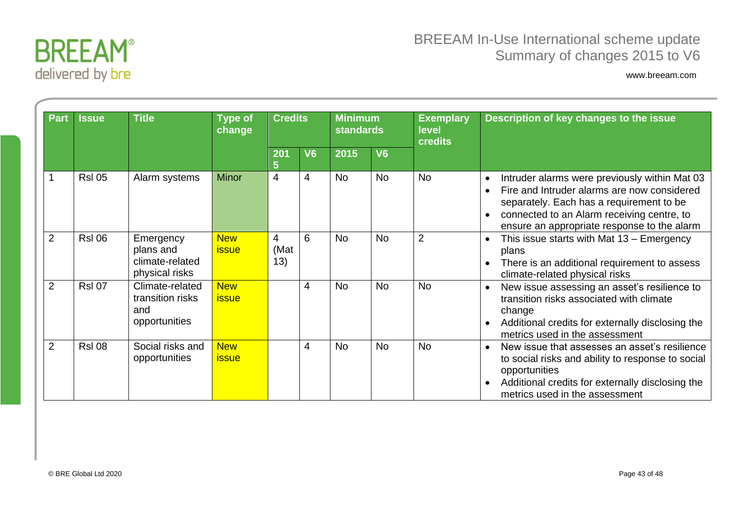

| <b>Part</b>    | <b>Issue</b>  | <b>Title</b>                                                | <b>Type of</b><br>change   | <b>Credits</b>                |                | <b>Minimum</b><br><b>standards</b> |           | <b>Exemplary</b><br>level<br><b>credits</b> | Description of key changes to the issue                                                                                                                                                                                                                         |
|----------------|---------------|-------------------------------------------------------------|----------------------------|-------------------------------|----------------|------------------------------------|-----------|---------------------------------------------|-----------------------------------------------------------------------------------------------------------------------------------------------------------------------------------------------------------------------------------------------------------------|
|                |               |                                                             |                            | 201<br>5                      | V <sub>6</sub> | 2015                               | <b>V6</b> |                                             |                                                                                                                                                                                                                                                                 |
|                | <b>RsI 05</b> | Alarm systems                                               | <b>Minor</b>               | 4                             | 4              | <b>No</b>                          | <b>No</b> | <b>No</b>                                   | Intruder alarms were previously within Mat 03<br>$\bullet$<br>Fire and Intruder alarms are now considered<br>$\bullet$<br>separately. Each has a requirement to be<br>connected to an Alarm receiving centre, to<br>ensure an appropriate response to the alarm |
| 2              | <b>RsI 06</b> | Emergency<br>plans and<br>climate-related<br>physical risks | <b>New</b><br><b>issue</b> | $\overline{4}$<br>(Mat<br>13) | 6              | <b>No</b>                          | <b>No</b> | $\overline{2}$                              | This issue starts with Mat $13 -$ Emergency<br>plans<br>There is an additional requirement to assess<br>climate-related physical risks                                                                                                                          |
| 2              | <b>RsI 07</b> | Climate-related<br>transition risks<br>and<br>opportunities | <b>New</b><br><b>issue</b> |                               | $\overline{4}$ | <b>No</b>                          | <b>No</b> | <b>No</b>                                   | New issue assessing an asset's resilience to<br>$\bullet$<br>transition risks associated with climate<br>change<br>Additional credits for externally disclosing the<br>metrics used in the assessment                                                           |
| $\overline{2}$ | <b>RsI 08</b> | Social risks and<br>opportunities                           | <b>New</b><br><b>issue</b> |                               | $\overline{4}$ | <b>No</b>                          | <b>No</b> | <b>No</b>                                   | New issue that assesses an asset's resilience<br>$\bullet$<br>to social risks and ability to response to social<br>opportunities<br>Additional credits for externally disclosing the<br>$\bullet$<br>metrics used in the assessment                             |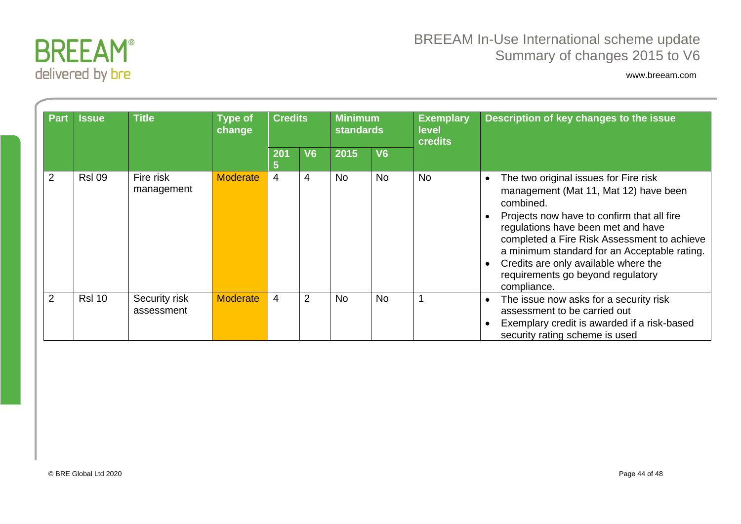

| <b>Part</b>    | <b>Issue</b>  | <b>Title</b>                | <b>Type of</b><br>change | <b>Credits</b> |                | <b>Minimum</b><br><b>standards</b> |                | <b>Exemplary</b><br>level<br><b>credits</b> | Description of key changes to the issue                                                                                                                                                                                                                                                                                                                                                 |
|----------------|---------------|-----------------------------|--------------------------|----------------|----------------|------------------------------------|----------------|---------------------------------------------|-----------------------------------------------------------------------------------------------------------------------------------------------------------------------------------------------------------------------------------------------------------------------------------------------------------------------------------------------------------------------------------------|
|                |               |                             |                          | 201<br>5       | V <sub>6</sub> | 2015                               | V <sub>6</sub> |                                             |                                                                                                                                                                                                                                                                                                                                                                                         |
| 2              | <b>RsI 09</b> | Fire risk<br>management     | <b>Moderate</b>          | 4              | 4              | <b>No</b>                          | <b>No</b>      | <b>No</b>                                   | The two original issues for Fire risk<br>management (Mat 11, Mat 12) have been<br>combined.<br>Projects now have to confirm that all fire<br>regulations have been met and have<br>completed a Fire Risk Assessment to achieve<br>a minimum standard for an Acceptable rating.<br>Credits are only available where the<br>$\bullet$<br>requirements go beyond regulatory<br>compliance. |
| $\overline{2}$ | <b>RsI 10</b> | Security risk<br>assessment | <b>Moderate</b>          | 4              | $\overline{2}$ | <b>No</b>                          | No             |                                             | The issue now asks for a security risk<br>assessment to be carried out<br>Exemplary credit is awarded if a risk-based<br>security rating scheme is used                                                                                                                                                                                                                                 |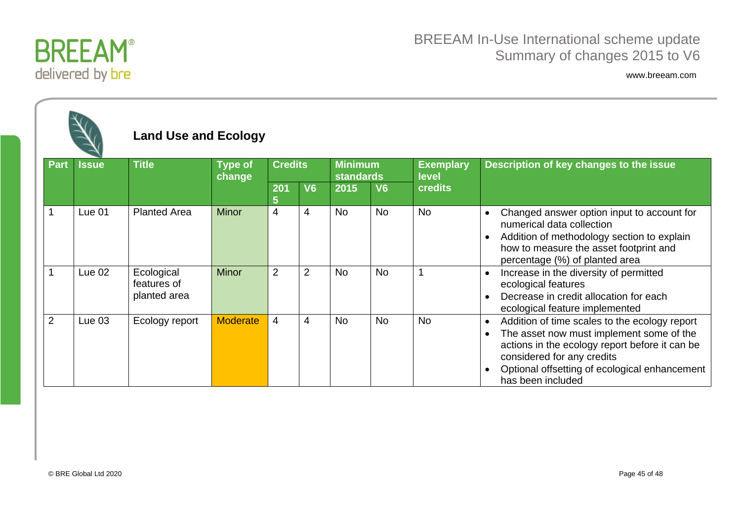

|                             |          | <b>Land Use and Ecology</b>               |                          |                |                |                                    |                |                           |                                                                                                                                                                                                                                                                           |  |  |  |  |  |  |
|-----------------------------|----------|-------------------------------------------|--------------------------|----------------|----------------|------------------------------------|----------------|---------------------------|---------------------------------------------------------------------------------------------------------------------------------------------------------------------------------------------------------------------------------------------------------------------------|--|--|--|--|--|--|
| <b>Part</b><br><b>Issue</b> |          | <b>Title</b>                              | <b>Type of</b><br>change | <b>Credits</b> |                | <b>Minimum</b><br><b>standards</b> |                | <b>Exemplary</b><br>level | Description of key changes to the issue                                                                                                                                                                                                                                   |  |  |  |  |  |  |
|                             |          |                                           |                          | 201<br>5       | V <sub>6</sub> | 2015                               | V <sub>6</sub> | credits                   |                                                                                                                                                                                                                                                                           |  |  |  |  |  |  |
|                             | Lue $01$ | <b>Planted Area</b>                       | <b>Minor</b>             | $\overline{4}$ | 4              | <b>No</b>                          | <b>No</b>      | <b>No</b>                 | Changed answer option input to account for<br>$\bullet$<br>numerical data collection<br>Addition of methodology section to explain<br>$\bullet$<br>how to measure the asset footprint and<br>percentage (%) of planted area                                               |  |  |  |  |  |  |
| $\overline{1}$              | Lue 02   | Ecological<br>features of<br>planted area | <b>Minor</b>             | $\overline{2}$ | $\overline{2}$ | <b>No</b>                          | <b>No</b>      |                           | Increase in the diversity of permitted<br>$\bullet$<br>ecological features<br>Decrease in credit allocation for each<br>ecological feature implemented                                                                                                                    |  |  |  |  |  |  |
| $\overline{2}$              | Lue $03$ | Ecology report                            | <b>Moderate</b>          | 4              | 4              | <b>No</b>                          | <b>No</b>      | <b>No</b>                 | Addition of time scales to the ecology report<br>$\bullet$<br>The asset now must implement some of the<br>actions in the ecology report before it can be<br>considered for any credits<br>Optional offsetting of ecological enhancement<br>$\bullet$<br>has been included |  |  |  |  |  |  |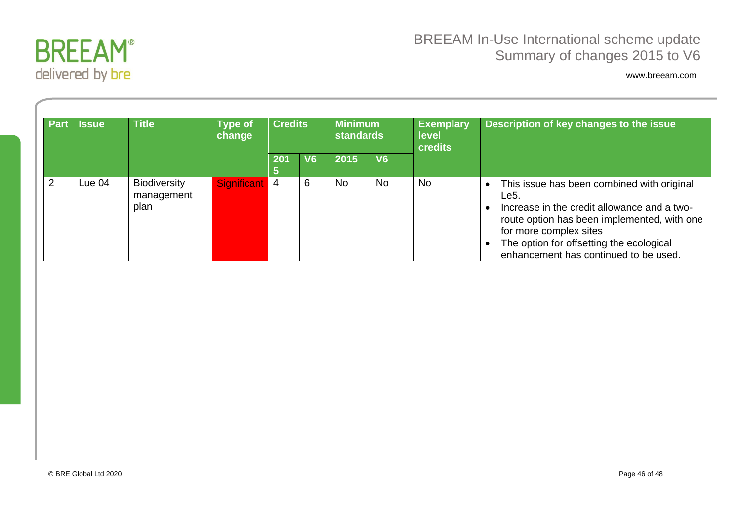

| <b>Part</b> | <b>Issue</b> | <b>Title</b>                              | <b>Credits</b><br><b>Minimum</b><br>Type of<br><b>standards</b><br>level<br>change<br><b>credits</b><br>V <sub>6</sub><br>V <sub>6</sub><br>2015<br>201 |                |   |           |           | <b>Exemplary</b> | Description of key changes to the issue                                                                                                                                                                                                                         |
|-------------|--------------|-------------------------------------------|---------------------------------------------------------------------------------------------------------------------------------------------------------|----------------|---|-----------|-----------|------------------|-----------------------------------------------------------------------------------------------------------------------------------------------------------------------------------------------------------------------------------------------------------------|
|             |              |                                           |                                                                                                                                                         |                |   |           |           |                  |                                                                                                                                                                                                                                                                 |
|             | Lue $04$     | <b>Biodiversity</b><br>management<br>plan | Significant                                                                                                                                             | $\overline{4}$ | 6 | <b>No</b> | <b>No</b> | <b>No</b>        | This issue has been combined with original<br>Le5.<br>Increase in the credit allowance and a two-<br>route option has been implemented, with one<br>for more complex sites<br>The option for offsetting the ecological<br>enhancement has continued to be used. |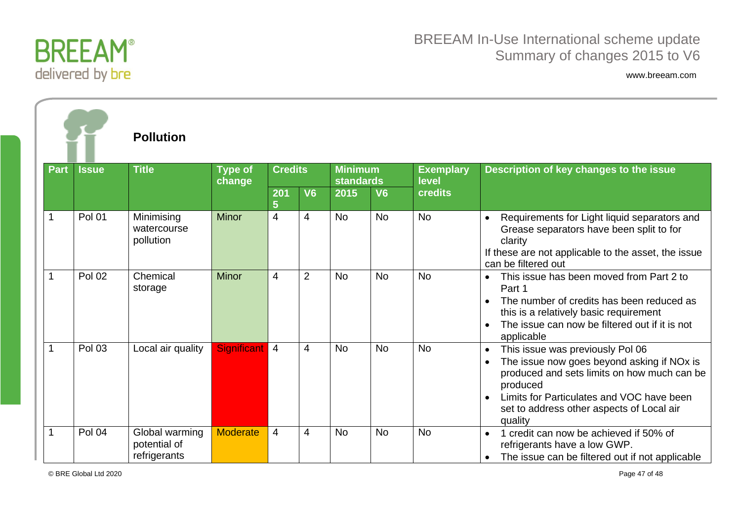

www.breeam.com

|              |               | <b>Pollution</b>                               |                          |                |                |                                    |                |                           |                                                                                                                                                                                                                                                                          |
|--------------|---------------|------------------------------------------------|--------------------------|----------------|----------------|------------------------------------|----------------|---------------------------|--------------------------------------------------------------------------------------------------------------------------------------------------------------------------------------------------------------------------------------------------------------------------|
| <b>Part</b>  | <b>Issue</b>  | <b>Title</b>                                   | <b>Type of</b><br>change | <b>Credits</b> |                | <b>Minimum</b><br><b>standards</b> |                | <b>Exemplary</b><br>level | Description of key changes to the issue                                                                                                                                                                                                                                  |
|              |               |                                                |                          | 201<br>5       | V <sub>6</sub> | 2015                               | V <sub>6</sub> | credits                   |                                                                                                                                                                                                                                                                          |
| $\mathbf{1}$ | <b>Pol 01</b> | Minimising<br>watercourse<br>pollution         | <b>Minor</b>             | $\overline{4}$ | 4              | <b>No</b>                          | <b>No</b>      | <b>No</b>                 | Requirements for Light liquid separators and<br>Grease separators have been split to for<br>clarity<br>If these are not applicable to the asset, the issue<br>can be filtered out                                                                                        |
| 1            | <b>Pol 02</b> | Chemical<br>storage                            | Minor                    | 4              | $\overline{2}$ | <b>No</b>                          | <b>No</b>      | <b>No</b>                 | This issue has been moved from Part 2 to<br>Part 1<br>The number of credits has been reduced as<br>this is a relatively basic requirement<br>The issue can now be filtered out if it is not<br>applicable                                                                |
|              | <b>Pol 03</b> | Local air quality                              | Significant 4            |                | $\overline{4}$ | <b>No</b>                          | <b>No</b>      | <b>No</b>                 | This issue was previously Pol 06<br>$\bullet$<br>The issue now goes beyond asking if NOx is<br>$\bullet$<br>produced and sets limits on how much can be<br>produced<br>Limits for Particulates and VOC have been<br>set to address other aspects of Local air<br>quality |
|              | <b>Pol 04</b> | Global warming<br>potential of<br>refrigerants | <b>Moderate</b>          | $\overline{4}$ | 4              | <b>No</b>                          | <b>No</b>      | <b>No</b>                 | 1 credit can now be achieved if 50% of<br>$\bullet$<br>refrigerants have a low GWP.<br>The issue can be filtered out if not applicable                                                                                                                                   |

© BRE Global Ltd 2020 Page 47 of 48